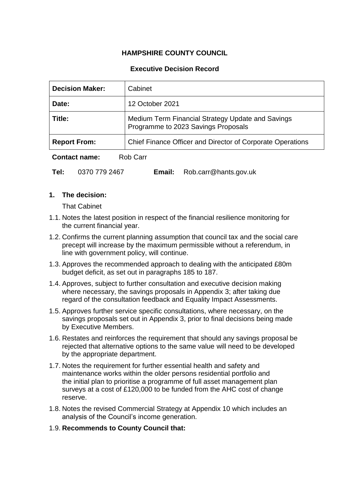# **HAMPSHIRE COUNTY COUNCIL**

### **Executive Decision Record**

| <b>Decision Maker:</b>           | Cabinet                                                                                  |  |  |
|----------------------------------|------------------------------------------------------------------------------------------|--|--|
| Date:                            | 12 October 2021                                                                          |  |  |
| Title:                           | Medium Term Financial Strategy Update and Savings<br>Programme to 2023 Savings Proposals |  |  |
| <b>Report From:</b>              | Chief Finance Officer and Director of Corporate Operations                               |  |  |
| Rob Carr<br><b>Contact name:</b> |                                                                                          |  |  |

**Tel:** 0370 779 2467 **Email:** Rob.carr@hants.gov.uk

### **1. The decision:**

That Cabinet

- 1.1. Notes the latest position in respect of the financial resilience monitoring for the current financial year.
- 1.2. Confirms the current planning assumption that council tax and the social care precept will increase by the maximum permissible without a referendum, in line with government policy, will continue.
- 1.3. Approves the recommended approach to dealing with the anticipated £80m budget deficit, as set out in paragraphs 185 to 187.
- 1.4. Approves, subject to further consultation and executive decision making where necessary, the savings proposals in Appendix 3; after taking due regard of the consultation feedback and Equality Impact Assessments.
- 1.5. Approves further service specific consultations, where necessary, on the savings proposals set out in Appendix 3, prior to final decisions being made by Executive Members.
- 1.6. Restates and reinforces the requirement that should any savings proposal be rejected that alternative options to the same value will need to be developed by the appropriate department.
- 1.7. Notes the requirement for further essential health and safety and maintenance works within the older persons residential portfolio and the initial plan to prioritise a programme of full asset management plan surveys at a cost of £120,000 to be funded from the AHC cost of change reserve.
- 1.8. Notes the revised Commercial Strategy at Appendix 10 which includes an analysis of the Council's income generation.
- 1.9. **Recommends to County Council that:**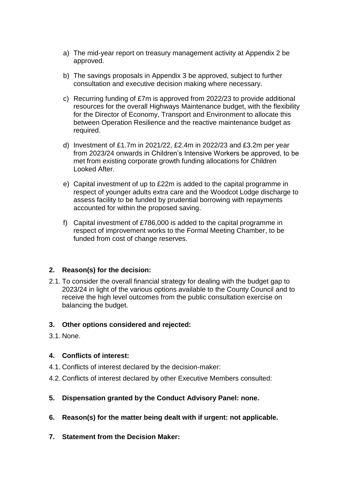- a) The mid-year report on treasury management activity at Appendix 2 be approved.
- b) The savings proposals in Appendix 3 be approved, subject to further consultation and executive decision making where necessary.
- c) Recurring funding of £7m is approved from 2022/23 to provide additional resources for the overall Highways Maintenance budget, with the flexibility for the Director of Economy, Transport and Environment to allocate this between Operation Resilience and the reactive maintenance budget as required.
- d) Investment of £1.7m in 2021/22, £2.4m in 2022/23 and £3.2m per year from 2023/24 onwards in Children's Intensive Workers be approved, to be met from existing corporate growth funding allocations for Children Looked After.
- e) Capital investment of up to £22m is added to the capital programme in respect of younger adults extra care and the Woodcot Lodge discharge to assess facility to be funded by prudential borrowing with repayments accounted for within the proposed saving.
- f) Capital investment of £786,000 is added to the capital programme in respect of improvement works to the Formal Meeting Chamber, to be funded from cost of change reserves.

# **2. Reason(s) for the decision:**

2.1. To consider the overall financial strategy for dealing with the budget gap to 2023/24 in light of the various options available to the County Council and to receive the high level outcomes from the public consultation exercise on balancing the budget.

### **3. Other options considered and rejected:**

3.1. None.

### **4. Conflicts of interest:**

- 4.1. Conflicts of interest declared by the decision-maker:
- 4.2. Conflicts of interest declared by other Executive Members consulted:

# **5. Dispensation granted by the Conduct Advisory Panel: none.**

- **6. Reason(s) for the matter being dealt with if urgent: not applicable.**
- **7. Statement from the Decision Maker:**